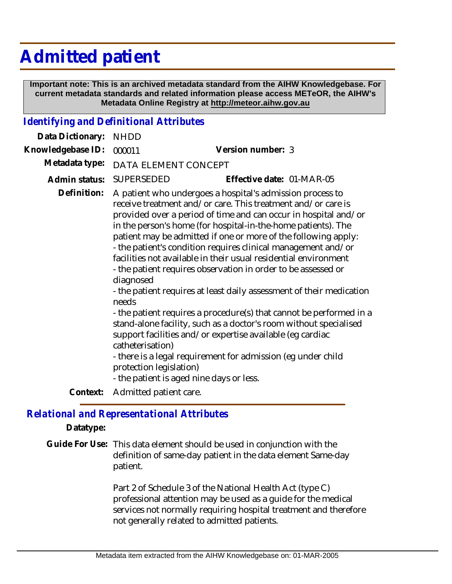# **Admitted patient**

 **Important note: This is an archived metadata standard from the AIHW Knowledgebase. For current metadata standards and related information please access METeOR, the AIHW's Metadata Online Registry at http://meteor.aihw.gov.au**

## *Identifying and Definitional Attributes*

| Data Dictionary:  | <b>NHDD</b>                                                       |                                                                                                                                                                                                                                                                                                                                                                                                                                                                                                                                                                                                                                                                                                                                                                                                                                                                                                                                   |
|-------------------|-------------------------------------------------------------------|-----------------------------------------------------------------------------------------------------------------------------------------------------------------------------------------------------------------------------------------------------------------------------------------------------------------------------------------------------------------------------------------------------------------------------------------------------------------------------------------------------------------------------------------------------------------------------------------------------------------------------------------------------------------------------------------------------------------------------------------------------------------------------------------------------------------------------------------------------------------------------------------------------------------------------------|
| Knowledgebase ID: | 000011                                                            | Version number: 3                                                                                                                                                                                                                                                                                                                                                                                                                                                                                                                                                                                                                                                                                                                                                                                                                                                                                                                 |
| Metadata type:    | DATA ELEMENT CONCEPT                                              |                                                                                                                                                                                                                                                                                                                                                                                                                                                                                                                                                                                                                                                                                                                                                                                                                                                                                                                                   |
| Admin status:     | <b>SUPERSEDED</b>                                                 | Effective date: 01-MAR-05                                                                                                                                                                                                                                                                                                                                                                                                                                                                                                                                                                                                                                                                                                                                                                                                                                                                                                         |
| Definition:       | diagnosed<br>needs<br>catheterisation)<br>protection legislation) | A patient who undergoes a hospital's admission process to<br>receive treatment and/or care. This treatment and/or care is<br>provided over a period of time and can occur in hospital and/or<br>in the person's home (for hospital-in-the-home patients). The<br>patient may be admitted if one or more of the following apply:<br>- the patient's condition requires clinical management and/or<br>facilities not available in their usual residential environment<br>- the patient requires observation in order to be assessed or<br>- the patient requires at least daily assessment of their medication<br>- the patient requires a procedure(s) that cannot be performed in a<br>stand-alone facility, such as a doctor's room without specialised<br>support facilities and/or expertise available (eg cardiac<br>- there is a legal requirement for admission (eg under child<br>- the patient is aged nine days or less. |
| Context:          | Admitted patient care.                                            |                                                                                                                                                                                                                                                                                                                                                                                                                                                                                                                                                                                                                                                                                                                                                                                                                                                                                                                                   |
|                   |                                                                   |                                                                                                                                                                                                                                                                                                                                                                                                                                                                                                                                                                                                                                                                                                                                                                                                                                                                                                                                   |

#### *Relational and Representational Attributes*

**Datatype:**

Guide For Use: This data element should be used in conjunction with the definition of same-day patient in the data element Same-day patient.

> Part 2 of Schedule 3 of the National Health Act (type C) professional attention may be used as a guide for the medical services not normally requiring hospital treatment and therefore not generally related to admitted patients.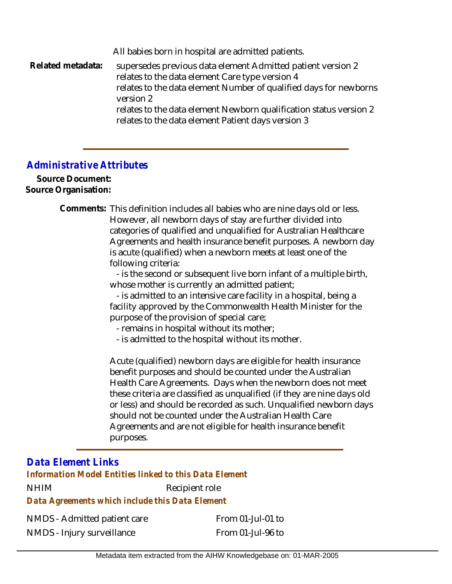All babies born in hospital are admitted patients. supersedes previous data element Admitted patient version 2 relates to the data element Care type version 4 relates to the data element Number of qualified days for newborns version 2 relates to the data element Newborn qualification status version 2 relates to the data element Patient days version 3 **Related metadata:**

## *Administrative Attributes*

**Source Document: Source Organisation:**

> Comments: This definition includes all babies who are nine days old or less. However, all newborn days of stay are further divided into categories of qualified and unqualified for Australian Healthcare Agreements and health insurance benefit purposes. A newborn day is acute (qualified) when a newborn meets at least one of the following criteria:

> > - is the second or subsequent live born infant of a multiple birth, whose mother is currently an admitted patient;

 - is admitted to an intensive care facility in a hospital, being a facility approved by the Commonwealth Health Minister for the purpose of the provision of special care;

- remains in hospital without its mother;
- is admitted to the hospital without its mother.

Acute (qualified) newborn days are eligible for health insurance benefit purposes and should be counted under the Australian Health Care Agreements. Days when the newborn does not meet these criteria are classified as unqualified (if they are nine days old or less) and should be recorded as such. Unqualified newborn days should not be counted under the Australian Health Care Agreements and are not eligible for health insurance benefit purposes.

# *Data Element Links*

NHIM Recipient role *Data Agreements which include this Data Element Information Model Entities linked to this Data Element*

NMDS - Admitted patient care NMDS - Injury surveillance

From 01-Jul-01 to From 01-Jul-96 to